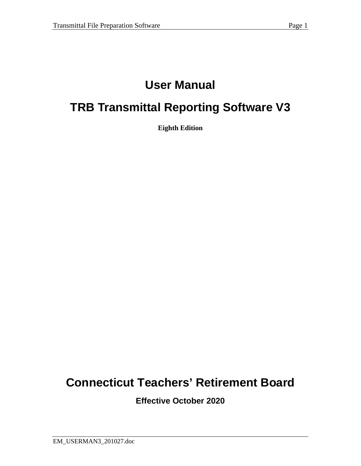# **User Manual**

# **TRB Transmittal Reporting Software V3**

**Eighth Edition**

# **Connecticut Teachers' Retirement Board**

**Effective October 2020**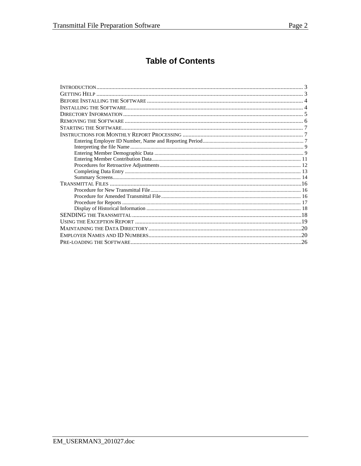# **Table of Contents**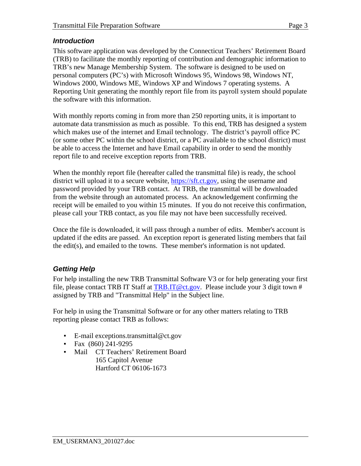### *Introduction*

This software application was developed by the Connecticut Teachers' Retirement Board (TRB) to facilitate the monthly reporting of contribution and demographic information to TRB's new Manage Membership System. The software is designed to be used on personal computers (PC's) with Microsoft Windows 95, Windows 98, Windows NT, Windows 2000, Windows ME, Windows XP and Windows 7 operating systems. A Reporting Unit generating the monthly report file from its payroll system should populate the software with this information.

With monthly reports coming in from more than 250 reporting units, it is important to automate data transmission as much as possible. To this end, TRB has designed a system which makes use of the internet and Email technology. The district's payroll office PC (or some other PC within the school district, or a PC available to the school district) must be able to access the Internet and have Email capability in order to send the monthly report file to and receive exception reports from TRB.

When the monthly report file (hereafter called the transmittal file) is ready, the school district will upload it to a secure website, [https://sft.ct.gov,](https://sft.ct.gov/) using the username and password provided by your TRB contact. At TRB, the transmittal will be downloaded from the website through an automated process. An acknowledgement confirming the receipt will be emailed to you within 15 minutes. If you do not receive this confirmation, please call your TRB contact, as you file may not have been successfully received.

Once the file is downloaded, it will pass through a number of edits. Member's account is updated if the edits are passed. An exception report is generated listing members that fail the edit(s), and emailed to the towns. These member's information is not updated.

# *Getting Help*

For help installing the new TRB Transmittal Software V3 or for help generating your first file, please contact TRB IT Staff at [TRB.IT@ct.gov.](mailto:TRB.IT@ct.gov) Please include your 3 digit town # assigned by TRB and "Transmittal Help" in the Subject line.

For help in using the Transmittal Software or for any other matters relating to TRB reporting please contact TRB as follows:

- E-mail exceptions.transmittal@ct.gov
- Fax (860) 241-9295
- Mail CT Teachers' Retirement Board 165 Capitol Avenue Hartford CT 06106-1673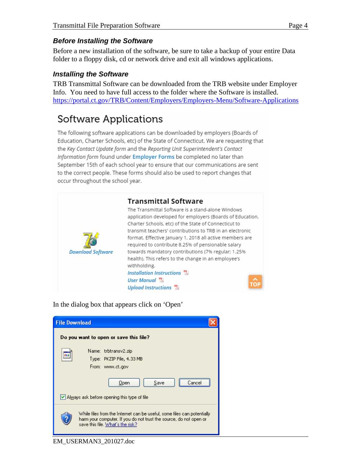## *Before Installing the Software*

Before a new installation of the software, be sure to take a backup of your entire Data folder to a floppy disk, cd or network drive and exit all windows applications.

### *Installing the Software*

TRB Transmittal Software can be downloaded from the TRB website under Employer Info. You need to have full access to the folder where the Software is installed. <https://portal.ct.gov/TRB/Content/Employers/Employers-Menu/Software-Applications>

# Software Applications

The following software applications can be downloaded by employers (Boards of Education, Charter Schools, etc) of the State of Connecticut. We are requesting that the Key Contact Update form and the Reporting Unit Superintendent's Contact Information form found under Employer Forms be completed no later than September 15th of each school year to ensure that our communications are sent to the correct people. These forms should also be used to report changes that occur throughout the school year.



In the dialog box that appears click on 'Open'

| <b>File Download</b> |                                                                                                                                                                                   |
|----------------------|-----------------------------------------------------------------------------------------------------------------------------------------------------------------------------------|
|                      | Do you want to open or save this file?                                                                                                                                            |
| 232                  | Name: trbtransv2.zip.<br>Type: PKZIP File, 4.33 MB<br>From: www.ct.gov                                                                                                            |
|                      | Save<br>Open<br>Fance                                                                                                                                                             |
|                      | Always ask before opening this type of file                                                                                                                                       |
|                      | While files from the Internet can be useful, some files can potentially<br>harm your computer. If you do not trust the source, do not open or<br>save this file. What's the risk? |

EM\_USERMAN3\_201027.doc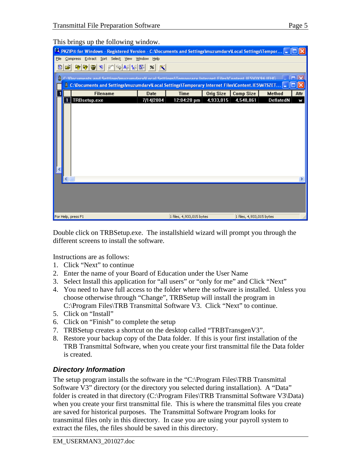|      | This brings up the following window.                                                                               |                             |                          |           |                          |                  |      |
|------|--------------------------------------------------------------------------------------------------------------------|-----------------------------|--------------------------|-----------|--------------------------|------------------|------|
|      | EL PKZIP® for Windows - Registered Version - C: Wocuments and Settings muzumdarv Local Settings \Tempor [=         |                             |                          |           |                          |                  |      |
| Eile | Compress Extract Sort Select View Window Help                                                                      |                             |                          |           |                          |                  |      |
| 凮    | $R[\nabla_{\!\! \! \! \! \textrm{B}}\! \,\varphi  \otimes   \varphi  \otimes  \varphi  \otimes  \varphi ]$<br>اتحت | $\mathscr{C}$ $\mathscr{C}$ |                          |           |                          |                  |      |
| û.   | C:\Documents and Settings\muzumdary\Local Settings\Temporary Internet Files\Content IF5\0X96 IFHG.                 |                             |                          |           |                          |                  |      |
|      | C: \Documents and Settings\muzumdarv\Local Settings\Temporary Internet Files\Content.IE5\MTSZET<br>Ш               |                             |                          |           |                          |                  |      |
|      | <b>Filename</b>                                                                                                    | <b>Date</b>                 | <b>Time</b>              | Orig Size | <b>Comp Size</b>         | <b>Method</b>    | Attr |
|      | TRBsetup.exe<br>1                                                                                                  | 7/14/2004                   | 12:04:20 pm              | 4,933,015 | 4,548,861                | <b>DeflatedN</b> | ₹    |
|      |                                                                                                                    |                             |                          |           |                          |                  |      |
|      |                                                                                                                    |                             |                          |           |                          |                  |      |
|      |                                                                                                                    |                             |                          |           |                          |                  |      |
|      |                                                                                                                    |                             |                          |           |                          |                  |      |
|      |                                                                                                                    |                             |                          |           |                          |                  |      |
|      |                                                                                                                    |                             |                          |           |                          |                  |      |
|      |                                                                                                                    |                             |                          |           |                          |                  |      |
|      |                                                                                                                    |                             |                          |           |                          |                  |      |
|      |                                                                                                                    |                             |                          |           |                          |                  |      |
|      |                                                                                                                    |                             |                          |           |                          |                  |      |
|      |                                                                                                                    |                             |                          |           |                          |                  |      |
|      |                                                                                                                    |                             |                          |           |                          |                  |      |
|      |                                                                                                                    |                             |                          |           |                          |                  |      |
|      |                                                                                                                    |                             |                          |           |                          |                  |      |
|      |                                                                                                                    |                             |                          |           |                          |                  |      |
|      | For Help, press F1                                                                                                 |                             | 1 files, 4,933,015 bytes |           | 1 files, 4,933,015 bytes |                  |      |

This brings up the following window.

Double click on TRBSetup.exe. The installshield wizard will prompt you through the different screens to install the software.

Instructions are as follows:

- 1. Click "Next" to continue
- 2. Enter the name of your Board of Education under the User Name
- 3. Select Install this application for "all users" or "only for me" and Click "Next"
- 4. You need to have full access to the folder where the software is installed. Unless you choose otherwise through "Change", TRBSetup will install the program in C:\Program Files\TRB Transmittal Software V3. Click "Next" to continue.
- 5. Click on "Install"
- 6. Click on "Finish" to complete the setup
- 7. TRBSetup creates a shortcut on the desktop called "TRBTransgenV3".
- 8. Restore your backup copy of the Data folder. If this is your first installation of the TRB Transmittal Software, when you create your first transmittal file the Data folder is created.

# *Directory Information*

The setup program installs the software in the "C:\Program Files\TRB Transmittal Software V3" directory (or the directory you selected during installation). A "Data" folder is created in that directory (C:\Program Files\TRB Transmittal Software V3\Data) when you create your first transmittal file. This is where the transmittal files you create are saved for historical purposes. The Transmittal Software Program looks for transmittal files only in this directory. In case you are using your payroll system to extract the files, the files should be saved in this directory.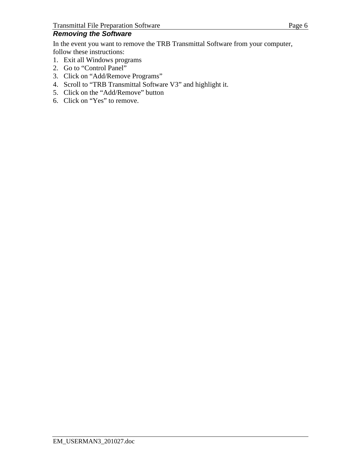## *Removing the Software*

In the event you want to remove the TRB Transmittal Software from your computer, follow these instructions:

- 1. Exit all Windows programs
- 2. Go to "Control Panel"
- 3. Click on "Add/Remove Programs"
- 4. Scroll to "TRB Transmittal Software V3" and highlight it.
- 5. Click on the "Add/Remove" button
- 6. Click on "Yes" to remove.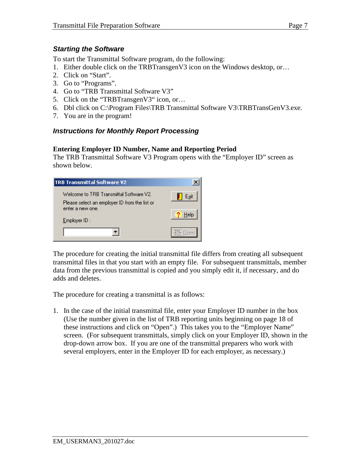#### *Starting the Software*

To start the Transmittal Software program, do the following:

- 1. Either double click on the TRBTransgenV3 icon on the Windows desktop, or…
- 2. Click on "Start".
- 3. Go to "Programs".
- 4. Go to "TRB Transmittal Software V3"
- 5. Click on the "TRBTransgenV3" icon, or...
- 6. Dbl click on C:\Program Files\TRB Transmittal Software V3\TRBTransGenV3.exe.
- 7. You are in the program!

### *Instructions for Monthly Report Processing*

#### **Entering Employer ID Number, Name and Reporting Period**

The TRB Transmittal Software V3 Program opens with the "Employer ID" screen as shown below.

| <b>TRB Transmittal Software V2</b>                                                                           |      |
|--------------------------------------------------------------------------------------------------------------|------|
| Welcome to TRB Transmittal Software V2.<br>Please select an employer ID from the list or<br>enter a new one. | Exit |
| $EmployerID$ :                                                                                               |      |
|                                                                                                              |      |

The procedure for creating the initial transmittal file differs from creating all subsequent transmittal files in that you start with an empty file. For subsequent transmittals, member data from the previous transmittal is copied and you simply edit it, if necessary, and do adds and deletes.

The procedure for creating a transmittal is as follows:

1. In the case of the initial transmittal file, enter your Employer ID number in the box (Use the number given in the list of TRB reporting units beginning on page 18 of these instructions and click on "Open".) This takes you to the "Employer Name" screen. (For subsequent transmittals, simply click on your Employer ID, shown in the drop-down arrow box. If you are one of the transmittal preparers who work with several employers, enter in the Employer ID for each employer, as necessary.)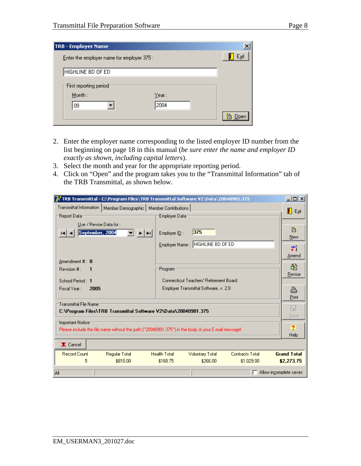| <b>TRB - Employer Name</b>                 |        | X    |
|--------------------------------------------|--------|------|
| Enter the employer name for employer 375 : |        | Exit |
| HIGHLINE BD OF ED                          |        |      |
| ⊤First reporting period⊤                   |        |      |
| $M$ onth:                                  | Year : |      |
| 09                                         | 2004   |      |
|                                            |        |      |

- 2. Enter the employer name corresponding to the listed employer ID number from the list beginning on page 18 in this manual (*be sure enter the name and employer ID exactly as shown, including capital letters*).
- 3. Select the month and year for the appropriate reporting period.
- 4. Click on "Open" and the program takes you to the "Transmittal Information" tab of the TRB Transmittal, as shown below.

| $\Box$ l $\Box$<br>TRB Transmittal - C:\Program Files\TRB Transmittal Software Y2\Data\20040901.375 |                                                                         |                        |  |  |
|-----------------------------------------------------------------------------------------------------|-------------------------------------------------------------------------|------------------------|--|--|
| Transmittal Information   <br>Member Demographic   Member Contributions                             |                                                                         |                        |  |  |
| Report Data                                                                                         | Employer Data                                                           | Exit                   |  |  |
| Use / Revise Data for:                                                                              |                                                                         |                        |  |  |
| September, 2004<br>► । ⊳⊞                                                                           | 375<br>Employer ID:                                                     | B<br>New               |  |  |
|                                                                                                     | Employer Name: HIGHLINE BD OF ED                                        |                        |  |  |
|                                                                                                     |                                                                         | ÷.                     |  |  |
| Amendment #: 0                                                                                      |                                                                         | Amend                  |  |  |
| <b>Revision # :</b><br>$\mathbf{1}$                                                                 | :Program                                                                | 阖                      |  |  |
| School Period: 1                                                                                    | Connecticut Teachers' Retirement Board                                  | Revise                 |  |  |
| Fiscal Year:<br>2005                                                                                | Employer Transmittal Software, v. 2.0                                   | ≞                      |  |  |
|                                                                                                     |                                                                         | Print                  |  |  |
| Transmittal File Namer                                                                              |                                                                         | ロ                      |  |  |
| C:\Program Files\TRB Transmittal Software V2\Data\20040901.375                                      |                                                                         |                        |  |  |
| Important Notice <sup>.</sup>                                                                       |                                                                         | Save                   |  |  |
| Please include the file name without the path ("20040901.375") in the body of your E-mail message!  |                                                                         | $\overline{?}$<br>Help |  |  |
| X Cancel                                                                                            |                                                                         |                        |  |  |
| <b>Record Count</b><br><b>Regular Total</b>                                                         | <b>Health Total</b><br><b>Contracts Total</b><br><b>Voluntary Total</b> | <b>Grand Total</b>     |  |  |
| \$810.00<br>5                                                                                       | \$168.75<br>\$266.00<br>\$1,029.00                                      | \$2,273.75             |  |  |
| Allow incomplete saves<br><b>AII</b>                                                                |                                                                         |                        |  |  |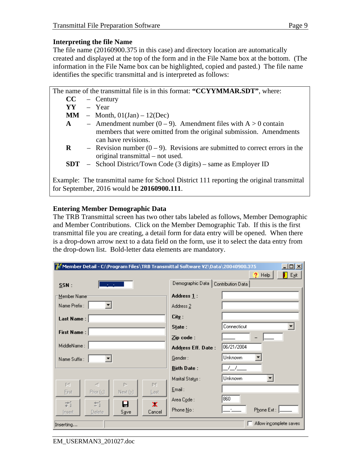#### **Interpreting the file Name**

The file name (20160900.375 in this case) and directory location are automatically created and displayed at the top of the form and in the File Name box at the bottom. (The information in the File Name box can be highlighted, copied and pasted.) The file name identifies the specific transmittal and is interpreted as follows:

|                                                                                                                                                | The name of the transmittal file is in this format: "CCYYMMAR.SDT", where: |                                                                                                                    |  |  |  |  |
|------------------------------------------------------------------------------------------------------------------------------------------------|----------------------------------------------------------------------------|--------------------------------------------------------------------------------------------------------------------|--|--|--|--|
|                                                                                                                                                |                                                                            | $CC -$ Century                                                                                                     |  |  |  |  |
| YY \                                                                                                                                           |                                                                            | - Year                                                                                                             |  |  |  |  |
|                                                                                                                                                |                                                                            | $MM$ – Month, $01(Jan) - 12(Dec)$                                                                                  |  |  |  |  |
| ${\bf A}$                                                                                                                                      |                                                                            | - Amendment number $(0-9)$ . Amendment files with $A > 0$ contain                                                  |  |  |  |  |
|                                                                                                                                                |                                                                            | members that were omitted from the original submission. Amendments<br>can have revisions.                          |  |  |  |  |
| $\bf R$                                                                                                                                        |                                                                            | - Revision number $(0 - 9)$ . Revisions are submitted to correct errors in the<br>original transmittal – not used. |  |  |  |  |
|                                                                                                                                                |                                                                            | <b>SDT</b> – School District/Town Code $(3 \text{ digits})$ – same as Employer ID                                  |  |  |  |  |
| Example: The transmittal name for School District 111 reporting the original transmittal<br>for September, 2016 would be <b>20160900.111</b> . |                                                                            |                                                                                                                    |  |  |  |  |

### **Entering Member Demographic Data**

The TRB Transmittal screen has two other tabs labeled as follows, Member Demographic and Member Contributions. Click on the Member Demographic Tab. If this is the first transmittal file you are creating, a detail form for data entry will be opened. When there is a drop-down arrow next to a data field on the form, use it to select the data entry from the drop-down list. Bold-letter data elements are mandatory.

| $\Box$ o $\Box$<br>To Member Detail - C:\Program Files\TRB Transmittal Software V2\Data\20040900.375 |                           |                                          |  |  |  |  |
|------------------------------------------------------------------------------------------------------|---------------------------|------------------------------------------|--|--|--|--|
|                                                                                                      |                           | 2<br>Help<br>П<br>$E_{\underline{x}}$ it |  |  |  |  |
| SSN:                                                                                                 | Demographic Data          | Contribution Data                        |  |  |  |  |
| Member Name                                                                                          | Address 1:                |                                          |  |  |  |  |
| Name Prefix :                                                                                        | Address <sub>2</sub>      |                                          |  |  |  |  |
| Last Name: $ $                                                                                       | City:                     |                                          |  |  |  |  |
| First Name:                                                                                          | State:                    | Connecticut                              |  |  |  |  |
|                                                                                                      | Zip code:                 |                                          |  |  |  |  |
| MiddleName:                                                                                          | <b>Address Eff. Date:</b> | 06/21/2004                               |  |  |  |  |
| Name Suffix :                                                                                        | Gender:                   | Unknown                                  |  |  |  |  |
|                                                                                                      | <b>Birth Date:</b>        | <u> 7 7 - </u>                           |  |  |  |  |
| $\Gamma\subset \Gamma$<br>Þ.                                                                         | Marital Status:           | Unknown                                  |  |  |  |  |
| ⊲<br>N<br>Prior $(\leq)$<br>First<br>Next 2)<br>Last                                                 | $E$ mail:                 |                                          |  |  |  |  |
| 岩<br>Ħ<br>A<br>×                                                                                     | Area Code :               | 860                                      |  |  |  |  |
| Cancel<br>Delete<br>Save<br>Insert                                                                   | Phone No:                 | Phone Ext:                               |  |  |  |  |
| Allow incomplete saves<br>Inserting                                                                  |                           |                                          |  |  |  |  |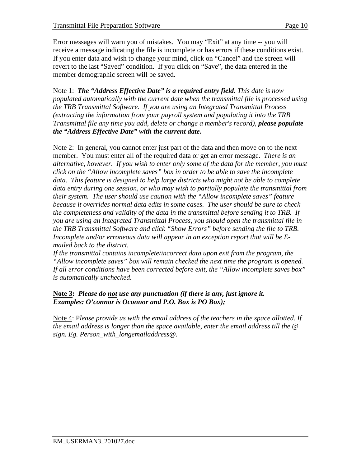Error messages will warn you of mistakes. You may "Exit" at any time -- you will receive a message indicating the file is incomplete or has errors if these conditions exist. If you enter data and wish to change your mind, click on "Cancel" and the screen will revert to the last "Saved" condition. If you click on "Save", the data entered in the member demographic screen will be saved.

Note 1: *The "Address Effective Date" is a required entry field. This date is now populated automatically with the current date when the transmittal file is processed using the TRB Transmittal Software. If you are using an Integrated Transmittal Process (extracting the information from your payroll system and populating it into the TRB Transmittal file any time you add, delete or change a member's record), please populate the "Address Effective Date" with the current date.*

Note 2: In general, you cannot enter just part of the data and then move on to the next member. You must enter all of the required data or get an error message. *There is an alternative, however. If you wish to enter only some of the data for the member, you must click on the "Allow incomplete saves" box in order to be able to save the incomplete data. This feature is designed to help large districts who might not be able to complete data entry during one session, or who may wish to partially populate the transmittal from their system. The user should use caution with the "Allow incomplete saves" feature because it overrides normal data edits in some cases. The user should be sure to check the completeness and validity of the data in the transmittal before sending it to TRB. If you are using an Integrated Transmittal Process, you should open the transmittal file in the TRB Transmittal Software and click "Show Errors" before sending the file to TRB. Incomplete and/or erroneous data will appear in an exception report that will be Emailed back to the district.*

*If the transmittal contains incomplete/incorrect data upon exit from the program, the "Allow incomplete saves" box will remain checked the next time the program is opened. If all error conditions have been corrected before exit, the "Allow incomplete saves box" is automatically unchecked.*

#### **Note 3:** *Please do not use any punctuation (if there is any, just ignore it. Examples: O'connor is Oconnor and P.O. Box is PO Box);*

Note 4: P*lease provide us with the email address of the teachers in the space allotted. If the email address is longer than the space available, enter the email address till the @ sign. Eg. Person\_with\_longemailaddress@.*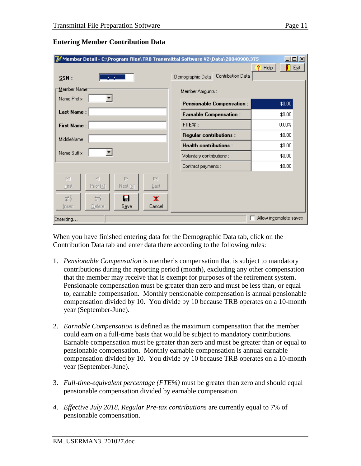| $\mathcal{U}'$ Member Detail - C:\Program Files\TRB Transmittal Software V2\Data\20040900.375 |                                  | $\Box$ ol $\times$                  |
|-----------------------------------------------------------------------------------------------|----------------------------------|-------------------------------------|
|                                                                                               | Contribution Data                | $E_{\underline{S}}$ it<br>?<br>Help |
| $SSN$ :<br><b>All Andre</b>                                                                   | Demographic Data                 |                                     |
| Member Name<br>$\blacktriangledown$                                                           | Member Amounts:                  |                                     |
| Name Prefix:                                                                                  | <b>Pensionable Compensation:</b> | \$0.00                              |
| <b>Last Name:</b>                                                                             | <b>Earnable Compensation:</b>    | \$0.00                              |
| <b>First Name:</b>                                                                            | FTE%:                            | 0.00%                               |
| MiddleName:                                                                                   | <b>Regular contributions:</b>    | \$0.00                              |
|                                                                                               | <b>Health contributions:</b>     | \$0.00                              |
| Name Suffix:                                                                                  | Voluntary contributions :        | \$0.00                              |
|                                                                                               | Contract payments :              | \$0.00                              |
| $\Gamma\subset$<br>K<br>D.<br>D.                                                              |                                  |                                     |
| Prior $( \leq )$<br>Next (2)<br>First<br>Last                                                 |                                  |                                     |
| 詩<br>雪<br>8<br>×                                                                              |                                  |                                     |
| Save<br>Cancel<br>Delete<br>Insert                                                            |                                  |                                     |
| Inserting                                                                                     |                                  | Allow incomplete saves              |

#### **Entering Member Contribution Data**

When you have finished entering data for the Demographic Data tab, click on the Contribution Data tab and enter data there according to the following rules:

- 1. *Pensionable Compensation* is member's compensation that is subject to mandatory contributions during the reporting period (month), excluding any other compensation that the member may receive that is exempt for purposes of the retirement system. Pensionable compensation must be greater than zero and must be less than, or equal to, earnable compensation. Monthly pensionable compensation is annual pensionable compensation divided by 10. You divide by 10 because TRB operates on a 10-month year (September-June).
- 2. *Earnable Compensation* is defined as the maximum compensation that the member could earn on a full-time basis that would be subject to mandatory contributions. Earnable compensation must be greater than zero and must be greater than or equal to pensionable compensation. Monthly earnable compensation is annual earnable compensation divided by 10. You divide by 10 because TRB operates on a 10-month year (September-June).
- 3. *Full-time-equivalent percentage (FTE%)* must be greater than zero and should equal pensionable compensation divided by earnable compensation.
- *4. Effective July 2018, Regular Pre-tax contributions* are currently equal to 7% of pensionable compensation.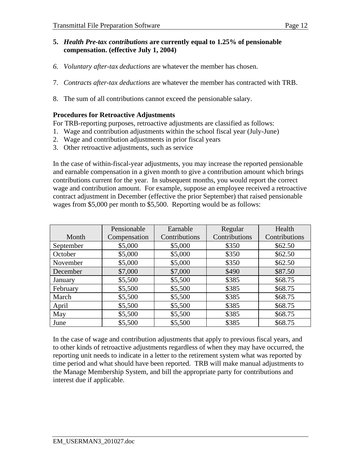#### **5.** *Health Pre-tax contributions* **are currently equal to 1.25% of pensionable compensation. (effective July 1, 2004)**

- *6. Voluntary after-tax deductions* are whatever the member has chosen.
- 7. *Contracts after-tax deductions* are whatever the member has contracted with TRB.
- 8. The sum of all contributions cannot exceed the pensionable salary.

#### **Procedures for Retroactive Adjustments**

For TRB-reporting purposes, retroactive adjustments are classified as follows:

- 1. Wage and contribution adjustments within the school fiscal year (July-June)
- 2. Wage and contribution adjustments in prior fiscal years
- 3. Other retroactive adjustments, such as service

In the case of within-fiscal-year adjustments, you may increase the reported pensionable and earnable compensation in a given month to give a contribution amount which brings contributions current for the year. In subsequent months, you would report the correct wage and contribution amount. For example, suppose an employee received a retroactive contract adjustment in December (effective the prior September) that raised pensionable wages from \$5,000 per month to \$5,500. Reporting would be as follows:

|           | Pensionable  | Earnable      | Regular       | Health        |
|-----------|--------------|---------------|---------------|---------------|
| Month     | Compensation | Contributions | Contributions | Contributions |
| September | \$5,000      | \$5,000       | \$350         | \$62.50       |
| October   | \$5,000      | \$5,000       | \$350         | \$62.50       |
| November  | \$5,000      | \$5,000       | \$350         | \$62.50       |
| December  | \$7,000      | \$7,000       | \$490         | \$87.50       |
| January   | \$5,500      | \$5,500       | \$385         | \$68.75       |
| February  | \$5,500      | \$5,500       | \$385         | \$68.75       |
| March     | \$5,500      | \$5,500       | \$385         | \$68.75       |
| April     | \$5,500      | \$5,500       | \$385         | \$68.75       |
| May       | \$5,500      | \$5,500       | \$385         | \$68.75       |
| June      | \$5,500      | \$5,500       | \$385         | \$68.75       |

In the case of wage and contribution adjustments that apply to previous fiscal years, and to other kinds of retroactive adjustments regardless of when they may have occurred, the reporting unit needs to indicate in a letter to the retirement system what was reported by time period and what should have been reported. TRB will make manual adjustments to the Manage Membership System, and bill the appropriate party for contributions and interest due if applicable.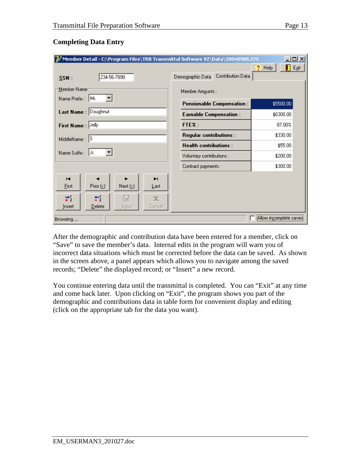#### **Completing Data Entry**

| 그미지<br>Member Detail - C:\Program Files\TRB Transmittal Software V2\Data\20040900.375 |                                       |                                          |  |  |
|---------------------------------------------------------------------------------------|---------------------------------------|------------------------------------------|--|--|
| 234-56-7890<br>SSN:                                                                   | Contribution Data<br>Demographic Data | Н<br>$E_{\underline{S}}$ it<br>?<br>Help |  |  |
| Member Name <sup>-</sup>                                                              | Member Amounts :                      |                                          |  |  |
| ▾<br>Name Prefix: Mr.                                                                 | <b>Pensionable Compensation:</b>      | \$5500.00                                |  |  |
| Last Name: Doughnut                                                                   | <b>Earnable Compensation:</b>         | \$6300.00                                |  |  |
| First Name : Jelly                                                                    | FTE%:                                 | 87.00%                                   |  |  |
| MiddleName: S                                                                         | <b>Regular contributions:</b>         | \$330.00                                 |  |  |
|                                                                                       | <b>Health contributions:</b>          | \$55.00                                  |  |  |
| Name Suffix :<br>Jr.                                                                  | Voluntary contributions :             | \$200.00                                 |  |  |
|                                                                                       | Contract payments :                   | \$300.00                                 |  |  |
| н<br>ы<br>Prior $($<br>Next $(2)$<br>First<br>Last                                    |                                       |                                          |  |  |
| ₹.<br>鳯<br>÷.<br>Ж<br>Delete<br>Cancel<br>Save<br>Insert                              |                                       |                                          |  |  |
| Browsing                                                                              |                                       | Allow incomplete saves                   |  |  |

After the demographic and contribution data have been entered for a member, click on "Save" to save the member's data. Internal edits in the program will warn you of incorrect data situations which must be corrected before the data can be saved. As shown in the screen above, a panel appears which allows you to navigate among the saved records; "Delete" the displayed record; or "Insert" a new record.

You continue entering data until the transmittal is completed. You can "Exit" at any time and come back later. Upon clicking on "Exit", the program shows you part of the demographic and contributions data in table form for convenient display and editing (click on the appropriate tab for the data you want).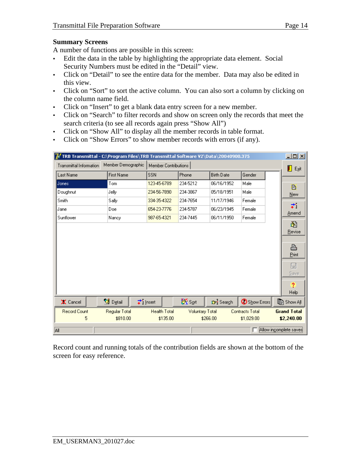#### **Summary Screens**

A number of functions are possible in this screen:

- Edit the data in the table by highlighting the appropriate data element. Social Security Numbers must be edited in the "Detail" view.
- Click on "Detail" to see the entire data for the member. Data may also be edited in this view.
- Click on "Sort" to sort the active column. You can also sort a column by clicking on the column name field.
- Click on "Insert" to get a blank data entry screen for a new member.
- Click on "Search" to filter records and show on screen only the records that meet the search criteria (to see all records again press "Show All")
- Click on "Show All" to display all the member records in table format.
- Click on "Show Errors" to show member records with errors (if any).

| 76 TRB Transmittal - C:\Program Files\TRB Transmittal Software V2\Data\20040900.375 |                        |                     |                        |                   |                        | $\Box$ o $\Box$        |
|-------------------------------------------------------------------------------------|------------------------|---------------------|------------------------|-------------------|------------------------|------------------------|
| Member Demographic<br>Member Contributions<br><b>Transmittal Information</b>        |                        |                     |                        |                   | П<br>Egit              |                        |
| Last Name                                                                           | <b>First Name</b>      | <b>SSN</b>          | Phone                  | <b>Birth Date</b> | Gender                 |                        |
| Jones                                                                               | Tom                    | 123-45-6789         | 234-5212               | 06/16/1952        | Male                   | B                      |
| Doughnut                                                                            | Jelly                  | 234-56-7890         | 234-3867               | 05/18/1951        | Male                   | New                    |
| Smith                                                                               | Sally                  | 334-35-4322         | 234-7654               | 11/17/1946        | Female                 | ÷.                     |
| Jane                                                                                | Doe                    | 654-23-7776         | 234-5787               | 06/23/1945        | Female                 | Amend                  |
| Sunflower                                                                           | Nancy                  | 987-65-4321         | 234-7445               | 06/11/1950        | Female                 |                        |
|                                                                                     |                        |                     |                        |                   |                        | 阖                      |
|                                                                                     |                        |                     |                        |                   |                        | Revise                 |
|                                                                                     |                        |                     |                        |                   |                        | ê                      |
|                                                                                     |                        |                     |                        |                   |                        | Print                  |
|                                                                                     |                        |                     |                        |                   |                        | $\boxplus$             |
|                                                                                     |                        |                     |                        |                   |                        | Save                   |
|                                                                                     |                        |                     |                        |                   |                        |                        |
|                                                                                     |                        |                     |                        |                   |                        | $\overline{?}$<br>Help |
| X Cancel                                                                            | S Detail               | → Insert            | <b>XX</b> Sort         | Cr' Search        | Show Errors            | <b>B</b> Show All      |
| <b>Record Count</b>                                                                 | Regular Total          | <b>Health Total</b> | <b>Voluntary Total</b> |                   | <b>Contracts Total</b> | <b>Grand Total</b>     |
| 5                                                                                   | \$810.00               | \$135.00            |                        | \$266.00          | \$1,029.00             | \$2,240.00             |
|                                                                                     |                        |                     |                        |                   |                        |                        |
| All                                                                                 | Allow incomplete saves |                     |                        |                   |                        |                        |

Record count and running totals of the contribution fields are shown at the bottom of the screen for easy reference.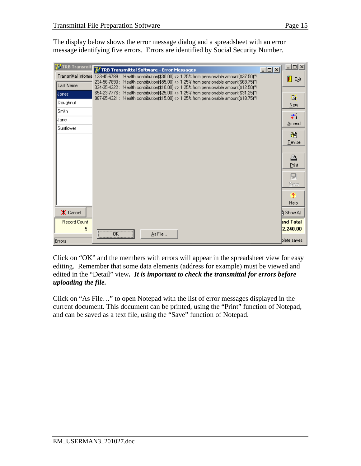The display below shows the error message dialog and a spreadsheet with an error message identifying five errors. Errors are identified by Social Security Number.

| <b>7</b> TRB Transmit | 7 TRB Transmittal Software - Error Messages                                                                                                                                        | $\Box$ D $\times$ | 그미지              |
|-----------------------|------------------------------------------------------------------------------------------------------------------------------------------------------------------------------------|-------------------|------------------|
|                       | Transmittal Informa 123-45-6789 : "Health contribution(\$30.00) <> 1.25% from pensionable amount(\$37.50)"!                                                                        |                   | Exit             |
| Last Name             | 234-56-7890 : "Health contribution(\$55.00) <> 1.25% from pensionable amount(\$68.75)"!<br>334-35-4322 : "Health contribution(\$10.00) <> 1.25% from pensionable amount(\$12.50)"! |                   |                  |
| Jones                 | 654-23-7776 : "Health contribution(\$25.00) <> 1.25% from pensionable amount(\$31.25)"!<br>987-65-4321 : "Health contribution(\$15.00) <> 1.25% from pensionable amount(\$18.75)"! |                   | B                |
| Doughnut              |                                                                                                                                                                                    |                   | New              |
| Smith                 |                                                                                                                                                                                    |                   | ÷.               |
| Jane                  |                                                                                                                                                                                    |                   | Amend            |
| Sunflower             |                                                                                                                                                                                    |                   |                  |
|                       |                                                                                                                                                                                    |                   | 阖<br>Revise      |
|                       |                                                                                                                                                                                    |                   |                  |
|                       |                                                                                                                                                                                    |                   | ê                |
|                       |                                                                                                                                                                                    |                   | Print            |
|                       |                                                                                                                                                                                    |                   | ロ                |
|                       |                                                                                                                                                                                    |                   | Save             |
|                       |                                                                                                                                                                                    |                   | $\overline{?}$   |
|                       |                                                                                                                                                                                    |                   | Help             |
| X Cancel              |                                                                                                                                                                                    |                   | Show All         |
| <b>Record Count</b>   |                                                                                                                                                                                    |                   | <b>and Total</b> |
| 5                     |                                                                                                                                                                                    |                   | 2,240.00         |
| Errors                | As File<br>OΚ                                                                                                                                                                      |                   | blete saves      |

Click on "OK" and the members with errors will appear in the spreadsheet view for easy editing. Remember that some data elements (address for example) must be viewed and edited in the "Detail" view*. It is important to check the transmittal for errors before uploading the file.*

Click on "As File…" to open Notepad with the list of error messages displayed in the current document. This document can be printed, using the "Print" function of Notepad, and can be saved as a text file, using the "Save" function of Notepad.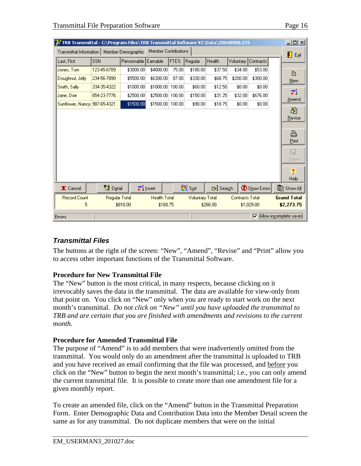| <b><i>C</i></b> TRB Transmittal - C:\Program Files\TRB Transmittal Software V2\Data\20040900.375 |                              |                      |                             |        |                  |                                                  |           |                    |  | ᅴᄆᄼ              |
|--------------------------------------------------------------------------------------------------|------------------------------|----------------------|-----------------------------|--------|------------------|--------------------------------------------------|-----------|--------------------|--|------------------|
| Member Contributions<br>Transmittal Information  <br>Member Demographic                          |                              |                      |                             |        | $E_{x}$ it       |                                                  |           |                    |  |                  |
| Last, First                                                                                      | <b>SSN</b>                   | Pensionable Earnable |                             | FTE%   | Regular          | Health                                           | Voluntary | Contracts          |  |                  |
| Jones, Tom                                                                                       | 123-45-6789                  | \$3000.00            | \$4000.00                   | 75.00  | \$180.00         | \$37.50                                          | \$34.00   | \$53.00            |  | B                |
| Doughnut, Jelly                                                                                  | 234-56-7890                  | \$5500.00            | \$6300.00                   | 87.00  | \$330.00         | \$68.75                                          | \$200.00  | \$300.00           |  | <b>New</b>       |
| Smith, Sally                                                                                     | 334-35-4322                  | \$1000.00            | \$1000.00                   | 100.00 | \$60.00          | \$12.50                                          | \$0.00    | \$0.00             |  |                  |
| Jane, Doel                                                                                       | 654-23-7776                  | \$2500.00            | \$2500.00 100.00            |        | \$150.00         | \$31.25                                          | \$32.00   | \$676.00           |  | ÷.<br>Amend      |
| Sunflower, Nancy 987-65-4321                                                                     |                              | \$1500.00            | \$1500.00 100.00            |        | \$90.00          | \$18.75                                          | \$0.00    | \$0.00             |  |                  |
|                                                                                                  |                              |                      |                             |        |                  |                                                  |           |                    |  | 阖                |
|                                                                                                  |                              |                      |                             |        |                  |                                                  |           |                    |  | Revise           |
|                                                                                                  |                              |                      |                             |        |                  |                                                  |           |                    |  | a.               |
|                                                                                                  |                              |                      |                             |        |                  |                                                  |           |                    |  | Print            |
|                                                                                                  |                              |                      |                             |        |                  |                                                  |           |                    |  | 日                |
|                                                                                                  |                              |                      |                             |        |                  |                                                  |           |                    |  | Save             |
|                                                                                                  |                              |                      |                             |        |                  |                                                  |           |                    |  |                  |
|                                                                                                  |                              |                      |                             |        |                  |                                                  |           |                    |  | $\boldsymbol{?}$ |
|                                                                                                  |                              |                      |                             |        |                  |                                                  |           |                    |  | Help             |
| X Cancel                                                                                         | S Detail                     |                      | $\overrightarrow{ }$ Insert |        | <b>Kont</b> Sort | <b>G</b> <sup>2</sup> Search                     |           | Show Errors        |  | ∭⊟ Show All      |
| Record Count                                                                                     | Regular Total                |                      | <b>Health Total</b>         |        |                  | <b>Contracts Total</b><br><b>Voluntary Total</b> |           | <b>Grand Total</b> |  |                  |
| 5                                                                                                |                              | \$810.00             | \$168.75                    |        |                  | \$266.00                                         |           | \$1,029.00         |  | \$2,273.75       |
| Errors                                                                                           | Allow incomplete saves<br> ⊽ |                      |                             |        |                  |                                                  |           |                    |  |                  |

# *Transmittal Files*

The buttons at the right of the screen: "New", "Amend", "Revise" and "Print" allow you to access other important functions of the Transmittal Software.

### **Procedure for New Transmittal File**

The "New" button is the most critical, in many respects, because clicking on it irrevocably saves the data in the transmittal. The data are available for view-only from that point on. You click on "New" only when you are ready to start work on the next month's transmittal. *Do not click on "New" until you have uploaded the transmittal to TRB and are certain that you are finished with amendments and revisions to the current month.*

### **Procedure for Amended Transmittal File**

The purpose of "Amend" is to add members that were inadvertently omitted from the transmittal. You would only do an amendment after the transmittal is uploaded to TRB and you have received an email confirming that the file was processed, and before you click on the "New" button to begin the next month's transmittal; i.e., you can only amend the current transmittal file. It is possible to create more than one amendment file for a given monthly report.

To create an amended file, click on the "Amend" button in the Transmittal Preparation Form. Enter Demographic Data and Contribution Data into the Member Detail screen the same as for any transmittal. Do not duplicate members that were on the initial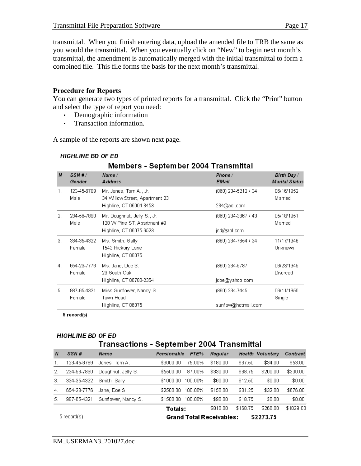transmittal. When you finish entering data, upload the amended file to TRB the same as you would the transmittal. When you eventually click on "New" to begin next month's transmittal, the amendment is automatically merged with the initial transmittal to form a combined file. This file forms the basis for the next month's transmittal.

#### **Procedure for Reports**

You can generate two types of printed reports for a transmittal. Click the "Print" button and select the type of report you need:

- Demographic information
- Transaction information.

A sample of the reports are shown next page.

|                  | Members - September 2004 Transmittar |                                                             |                         |                                     |  |
|------------------|--------------------------------------|-------------------------------------------------------------|-------------------------|-------------------------------------|--|
| $\boldsymbol{N}$ | SSN#/<br>Gender                      | Name/<br><b>Address</b>                                     | Phone /<br><b>EMail</b> | Birth Day/<br><b>Marital Status</b> |  |
| $\mathbf{1}$ .   | 123-45-6789<br>Male                  | Mr. Jones, Tom A., Jr.<br>34 Willow Street, Apartment 23    | (860) 234-5212 / 34     | 06/16/1952<br><b>Married</b>        |  |
|                  |                                      | Highline, CT 06004-3453                                     | 234@aol.com             |                                     |  |
| 2.               | 234-56-7890<br>Male                  | Mr. Doughnut, Jelly S., Jr.<br>128 W Pine ST, Apartment #9  | (860) 234-3867 / 43     | 05/18/1951<br>Married               |  |
|                  |                                      | Highline, CT 06075-6523                                     | jsd@aol.com             |                                     |  |
| 3.               | 334-35-4322<br>Female                | Ms. Smith, Sally<br>1543 Hickory Lane<br>Highline, CT 06075 | (860) 234-7654 / 34     | 11/17/1946<br>Unknown               |  |
| 4.               | 654-23-7776<br>Female                | Ms. Jane, Doe S.<br>23 South Oak                            | (860) 234-5787          | 06/23/1945<br>Divorced              |  |
|                  |                                      | Highline, CT 06783-2354                                     | jdoe@yahoo.com          |                                     |  |
| 5.               | 987-65-4321<br>Female                | Miss Sunflower, Nancy S.<br>Town Road                       | (860) 234-7445          | 06/11/1950<br>Single                |  |
|                  |                                      | Highline, CT 06075                                          | sunflow@hotmail.com     |                                     |  |

#### **HIGHLINE BD OF ED**

# Mambers - Sentember 2004 Transmittal

5 record(s)

### **HIGHLINE BD OF ED**

# Transactions - September 2004 Transmittal

| N   | SSN#                                                          | Name                | Pensionable | FTE%    | Regular  |          | Health Voluntary | Contract  |
|-----|---------------------------------------------------------------|---------------------|-------------|---------|----------|----------|------------------|-----------|
|     | 123-45-6789                                                   | Jones, Tom A.       | \$3000.00   | 75.00%  | \$180.00 | \$37.50  | \$34.00          | \$53.00   |
| 2.  | 234-56-7890                                                   | Doughnut, Jelly S.  | \$5500.00   | 87.00%  | \$330.00 | \$68.75  | \$200.00         | \$300.00  |
| З.  | 334-35-4322                                                   | Smith, Sally        | \$1000.00   | 100.00% | \$60.00  | \$12.50  | \$0.00           | \$0.00    |
| 4.  | 654-23-7776                                                   | Jane, Doe S.        | \$2500.00   | 100.00% | \$150.00 | \$31.25  | \$32.00          | \$676.00  |
| -5. | 987-65-4321                                                   | Sunflower, Nancy S. | \$1500.00   | 100.00% | \$90.00  | \$18.75  | \$0.00           | \$0.00    |
|     |                                                               |                     | Totals:     |         | \$810.00 | \$168.75 | \$266.00         | \$1029.00 |
|     | $5$ record(s)<br><b>Grand Total Receivables:</b><br>\$2273.75 |                     |             |         |          |          |                  |           |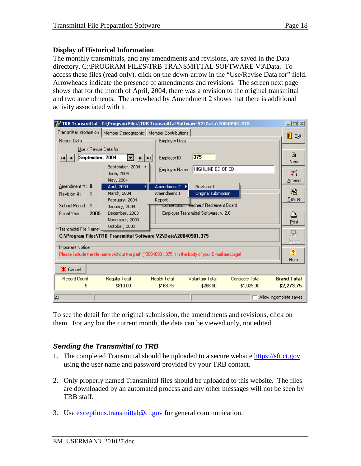The monthly transmittals, and any amendments and revisions, are saved in the Data directory, C:\PROGRAM FILES\TRB TRANSMITTAL SOFTWARE V3\Data. To access these files (read only), click on the down-arrow in the "Use/Revise Data for" field. Arrowheads indicate the presence of amendments and revisions. The screen next page shows that for the month of April, 2004, there was a revision to the original transmittal and two amendments. The arrowhead by Amendment 2 shows that there is additional activity associated with it.

| TRB Transmittal - C:\Program Files\TRB Transmittal Software V2\Data\20040901.375                         |                                              |                                      |                                                                                 |                                      |                        |                                  |
|----------------------------------------------------------------------------------------------------------|----------------------------------------------|--------------------------------------|---------------------------------------------------------------------------------|--------------------------------------|------------------------|----------------------------------|
| Transmittal Information  <br>Member Demographic   Member Contributions  <br>Employer Data<br>Report Data |                                              |                                      |                                                                                 |                                      |                        | Exit                             |
| Use / Revise Data for:<br>September, 2004                                                                | 憲<br>I >II<br>September, 2004                | Employer $I\underline{D}$ :          | 375<br>Employer Name: HIGHLINE BD OF ED                                         |                                      |                        | B<br>New                         |
|                                                                                                          | June, 2004<br>May, 2004                      |                                      |                                                                                 |                                      |                        | ÷.<br>Amend                      |
| Amendment $\sharp: 0$<br>Revision # :<br>1                                                               | April, 2004<br>March, 2004<br>February, 2004 | Amendment 2<br>Amendment 1<br>Report | Revision 1<br>Original submission                                               |                                      |                        | 阖<br>Revise                      |
| School Period: 1<br>Fiscal Year:<br>2005                                                                 | January, 2004<br>December, 2003              |                                      | Connecticut Teachers' Retirement Board<br>Employer Transmittal Software, v. 2.0 |                                      |                        | ≞                                |
| Transmittal File Name=,                                                                                  | November, 2003<br>October, 2003              |                                      |                                                                                 |                                      |                        | Print<br>日                       |
| C:\Program Files\TRB Transmittal Software V2\Data\20040901.375<br>Important Notice <sup>.</sup>          |                                              |                                      |                                                                                 |                                      | Save                   |                                  |
| Please include the file name without the path ("20040901.375") in the body of your E-mail message!       |                                              |                                      |                                                                                 |                                      | $\overline{?}$<br>Help |                                  |
| X Cancel                                                                                                 |                                              |                                      |                                                                                 |                                      |                        |                                  |
| <b>Record Count</b><br>5                                                                                 | Regular Total<br>\$810.00                    | <b>Health Total</b><br>\$168.75      | <b>Voluntary Total</b><br>\$266.00                                              | <b>Contracts Total</b><br>\$1,029.00 |                        | <b>Grand Total</b><br>\$2,273.75 |
| All                                                                                                      |                                              |                                      |                                                                                 |                                      |                        | Allow incomplete saves           |

To see the detail for the original submission, the amendments and revisions, click on them. For any but the current month, the data can be viewed only, not edited.

# *Sending the Transmittal to TRB*

- 1. The completed Transmittal should be uploaded to a secure website [https://sft.ct.gov](https://sft.ct.gov/) using the user name and password provided by your TRB contact.
- 2. Only properly named Transmittal files should be uploaded to this website. The files are downloaded by an automated process and any other messages will not be seen by TRB staff.
- 3. Use [exceptions.transmittal@ct.gov](mailto:exceptions.transmittal@ct.gov) for general communication.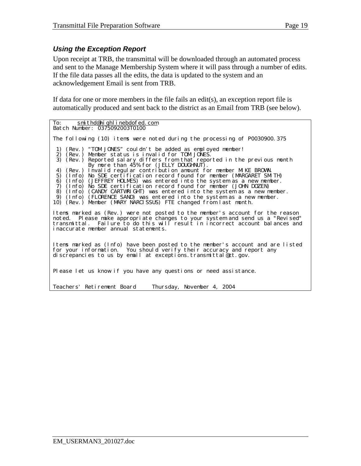#### *Using the Exception Report*

Upon receipt at TRB, the transmittal will be downloaded through an automated process and sent to the Manage Membership System where it will pass through a number of edits. If the file data passes all the edits, the data is updated to the system and an acknowledgement Email is sent from TRB.

If data for one or more members in the file fails an edit(s), an exception report file is automatically produced and sent back to the district as an Email from TRB (see below).

To: <u>[smithd@highlinebdofed.com](mailto:smithd@highlinebdofed.com)</u> Batch Number: 0375092003T0100 The following (10) items were noted during the processing of P0030900.375 1) (Rev.) "TOM JONES" couldn't be added as employed member!<br>2) (Rev.) Member status is invalid for TOM JONES.  $(Rev.)$  Member status is invalid for TOM JONES. 3) (Rev.) Reported salary differs from that reported in the previous month By more than 45% for (JELLY DOUGHNUT). 4) (Rev.) Invalid regular contribution amount for member MIKE BROWN. 5) (Info) No SDE certification record found for member (MARGARET SMITH) 6) (Info) (JEFFREY HOLMES) was entered into the system as a new member. 7) (Info) No SDE certification record found for member (JOHN DOZEN) 8) (Info) (CANDY CARTWRIGHT) was entered into the system as a new member. 9) (Info) (FLORENCE SAND) was entered into the system as a new member. 10) (Rev.) Member (MARY NARCISSUS) FTE changed from last month. Items marked as (Rev.) were not posted to the member's account for the reason noted. Please make appropriate changes to your system and send us a "Revised" transmittal. Failure to do this will result in incorrect account balances and inaccurate member annual statements. Items marked as (Info) have been posted to the member's account and are listed for your information. You should verify their accuracy and report any discrepancies to us by email at exceptions.transmittal ect.gov. Please let us know if you have any questions or need assistance. Teachers' Retirement Board Thursday, November 4, 2004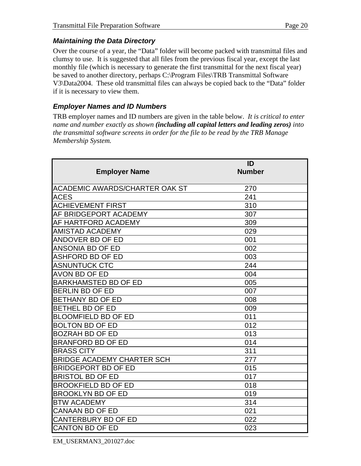Over the course of a year, the "Data" folder will become packed with transmittal files and clumsy to use. It is suggested that all files from the previous fiscal year, except the last monthly file (which is necessary to generate the first transmittal for the next fiscal year) be saved to another directory, perhaps C:\Program Files\TRB Transmittal Software V3\Data2004. These old transmittal files can always be copied back to the "Data" folder if it is necessary to view them.

## *Employer Names and ID Numbers*

TRB employer names and ID numbers are given in the table below. *It is critical to enter name and number exactly as shown (including all capital letters and leading zeros) into the transmittal software screens in order for the file to be read by the TRB Manage Membership System.*

| <b>Employer Name</b>                  | ID<br><b>Number</b> |
|---------------------------------------|---------------------|
| <b>ACADEMIC AWARDS/CHARTER OAK ST</b> | 270                 |
| <b>ACES</b>                           | 241                 |
| <b>ACHIEVEMENT FIRST</b>              | 310                 |
| <b>AF BRIDGEPORT ACADEMY</b>          | 307                 |
| <b>AF HARTFORD ACADEMY</b>            | 309                 |
| <b>AMISTAD ACADEMY</b>                | 029                 |
| <b>ANDOVER BD OF ED</b>               | 001                 |
| <b>ANSONIA BD OF ED</b>               | 002                 |
| <b>ASHFORD BD OF ED</b>               | 003                 |
| <b>ASNUNTUCK CTC</b>                  | 244                 |
| <b>AVON BD OF ED</b>                  | 004                 |
| <b>BARKHAMSTED BD OF ED</b>           | 005                 |
| <b>BERLIN BD OF ED</b>                | 007                 |
| <b>BETHANY BD OF ED</b>               | 008                 |
| <b>BETHEL BD OF ED</b>                | 009                 |
| <b>BLOOMFIELD BD OF ED</b>            | 011                 |
| <b>BOLTON BD OF ED</b>                | 012                 |
| <b>BOZRAH BD OF ED</b>                | 013                 |
| <b>BRANFORD BD OF ED</b>              | 014                 |
| <b>BRASS CITY</b>                     | 311                 |
| <b>BRIDGE ACADEMY CHARTER SCH</b>     | 277                 |
| <b>BRIDGEPORT BD OF ED</b>            | 015                 |
| <b>BRISTOL BD OF ED</b>               | 017                 |
| <b>BROOKFIELD BD OF ED</b>            | 018                 |
| <b>BROOKLYN BD OF ED</b>              | 019                 |
| <b>BTW ACADEMY</b>                    | 314                 |
| <b>CANAAN BD OF ED</b>                | 021                 |
| <b>CANTERBURY BD OF ED</b>            | 022                 |
| <b>CANTON BD OF ED</b>                | 023                 |

EM\_USERMAN3\_201027.doc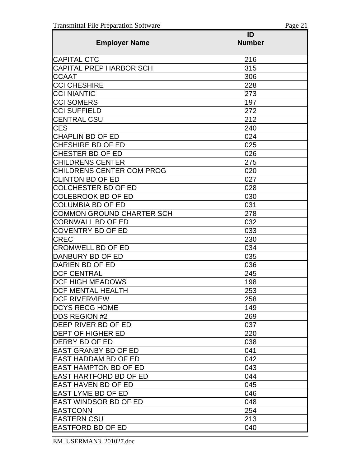|                                  | ID            |
|----------------------------------|---------------|
| <b>Employer Name</b>             | <b>Number</b> |
| <b>CAPITAL CTC</b>               | 216           |
| CAPITAL PREP HARBOR SCH          | 315           |
| <b>CCAAT</b>                     | 306           |
| <b>CCI CHESHIRE</b>              | 228           |
| <b>CCI NIANTIC</b>               | 273           |
| <b>CCI SOMERS</b>                | 197           |
| <b>CCI SUFFIELD</b>              | 272           |
| <b>CENTRAL CSU</b>               | 212           |
| <b>CES</b>                       | 240           |
| <b>CHAPLIN BD OF ED</b>          | 024           |
| <b>CHESHIRE BD OF ED</b>         | 025           |
| CHESTER BD OF ED                 | 026           |
| <b>CHILDRENS CENTER</b>          | 275           |
| <b>CHILDRENS CENTER COM PROG</b> | 020           |
| <b>CLINTON BD OF ED</b>          | 027           |
| <b>COLCHESTER BD OF ED</b>       | 028           |
| <b>COLEBROOK BD OF ED</b>        | 030           |
| <b>COLUMBIA BD OF ED</b>         | 031           |
| <b>COMMON GROUND CHARTER SCH</b> | 278           |
| <b>CORNWALL BD OF ED</b>         | 032           |
| <b>COVENTRY BD OF ED</b>         | 033           |
| <b>CREC</b>                      | 230           |
| <b>CROMWELL BD OF ED</b>         | 034           |
| DANBURY BD OF ED                 | 035           |
| DARIEN BD OF ED                  | 036           |
| <b>DCF CENTRAL</b>               | 245           |
| <b>DCF HIGH MEADOWS</b>          | 198           |
| <b>DCF MENTAL HEALTH</b>         | 253           |
| <b>DCF RIVERVIEW</b>             | 258           |
| <b>DCYS RECG HOME</b>            | 149           |
| <b>DDS REGION #2</b>             | 269           |
| DEEP RIVER BD OF ED              | 037           |
| <b>DEPT OF HIGHER ED</b>         | 220           |
| <b>DERBY BD OF ED</b>            | 038           |
| <b>EAST GRANBY BD OF ED</b>      | 041           |
| <b>IEAST HADDAM BD OF ED</b>     | 042           |
| <b>EAST HAMPTON BD OF ED</b>     | 043           |
| <b>EAST HARTFORD BD OF ED</b>    | 044           |
| <b>EAST HAVEN BD OF ED</b>       | 045           |
| <b>EAST LYME BD OF ED</b>        | 046           |
| <b>EAST WINDSOR BD OF ED</b>     | 048           |
| <b>EASTCONN</b>                  | 254           |
| <b>EASTERN CSU</b>               | 213           |
| <b>EASTFORD BD OF ED</b>         | 040           |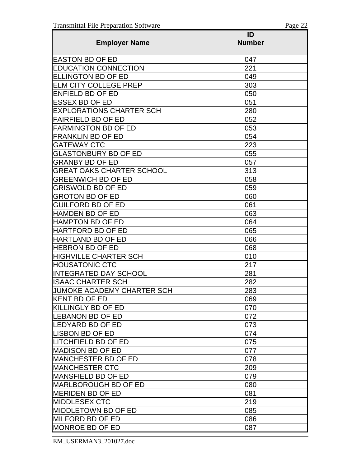|                                   | ID            |
|-----------------------------------|---------------|
| <b>Employer Name</b>              | <b>Number</b> |
| <b>EASTON BD OF ED</b>            | 047           |
| <b>EDUCATION CONNECTION</b>       | 221           |
| <b>ELLINGTON BD OF ED</b>         | 049           |
| <b>ELM CITY COLLEGE PREP</b>      | 303           |
| <b>ENFIELD BD OF ED</b>           | 050           |
| <b>ESSEX BD OF ED</b>             | 051           |
| <b>EXPLORATIONS CHARTER SCH</b>   | 280           |
| <b>FAIRFIELD BD OF ED</b>         | 052           |
| <b>FARMINGTON BD OF ED</b>        | 053           |
| <b>FRANKLIN BD OF ED</b>          | 054           |
| <b>GATEWAY CTC</b>                | 223           |
| <b>GLASTONBURY BD OF ED</b>       | 055           |
| GRANBY BD OF ED                   | 057           |
| <b>GREAT OAKS CHARTER SCHOOL</b>  | 313           |
| <b>GREENWICH BD OF ED</b>         | 058           |
| <b>GRISWOLD BD OF ED</b>          | 059           |
| <b>GROTON BD OF ED</b>            | 060           |
| <b>IGUILFORD BD OF ED</b>         | 061           |
| <b>HAMDEN BD OF ED</b>            | 063           |
| <b>HAMPTON BD OF ED</b>           | 064           |
| <b>IHARTFORD BD OF ED</b>         | 065           |
| <b>HARTLAND BD OF ED</b>          | 066           |
| <b>HEBRON BD OF ED</b>            | 068           |
| <b>HIGHVILLE CHARTER SCH</b>      | 010           |
| <b>HOUSATONIC CTC</b>             | 217           |
| <b>INTEGRATED DAY SCHOOL</b>      | 281           |
| IISAAC CHARTER SCH                | 282           |
| <b>JUMOKE ACADEMY CHARTER SCH</b> | 283           |
| KENT BD OF ED                     | 069           |
| KILLINGLY BD OF ED                | 070           |
| <b>LEBANON BD OF ED</b>           | 072           |
| LEDYARD BD OF ED                  | 073           |
| <b>LISBON BD OF ED</b>            | 074           |
| <b>LITCHFIELD BD OF ED</b>        | 075           |
| <b>MADISON BD OF ED</b>           | 077           |
| <b>MANCHESTER BD OF ED</b>        | 078           |
| <b>IMANCHESTER CTC</b>            | 209           |
| <b>IMANSFIELD BD OF ED</b>        | 079           |
| <b>IMARLBOROUGH BD OF ED</b>      | 080           |
| <b>MERIDEN BD OF ED</b>           | 081           |
| <b>MIDDLESEX CTC</b>              | 219           |
| <b>IMIDDLETOWN BD OF ED</b>       | 085           |
| <b>MILFORD BD OF ED</b>           | 086           |
| <b>MONROE BD OF ED</b>            | 087           |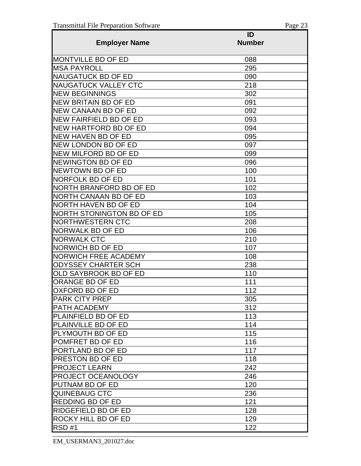|                                  | ID            |
|----------------------------------|---------------|
| <b>Employer Name</b>             | <b>Number</b> |
| <b>MONTVILLE BD OF ED</b>        | 088           |
| <b>MSA PAYROLL</b>               | 295           |
| <b>NAUGATUCK BD OF ED</b>        | 090           |
| <b>NAUGATUCK VALLEY CTC</b>      | 218           |
| <b>NEW BEGINNINGS</b>            | 302           |
| <b>NEW BRITAIN BD OF ED</b>      | 091           |
| <b>NEW CANAAN BD OF ED</b>       | 092           |
| <b>NEW FAIRFIELD BD OF ED</b>    | 093           |
| <b>NEW HARTFORD BD OF ED</b>     | 094           |
| <b>NEW HAVEN BD OF ED</b>        | 095           |
| <b>NEW LONDON BD OF ED</b>       | 097           |
| NEW MILFORD BD OF ED             | 099           |
| <b>NEWINGTON BD OF ED</b>        | 096           |
| NEWTOWN BD OF ED                 | 100           |
| <b>NORFOLK BD OF ED</b>          | 101           |
| NORTH BRANFORD BD OF ED          | 102           |
| NORTH CANAAN BD OF ED            | 103           |
| NORTH HAVEN BD OF ED             | 104           |
| <b>NORTH STONINGTON BD OF ED</b> | 105           |
| <b>NORTHWESTERN CTC</b>          | 208           |
| <b>NORWALK BD OF ED</b>          | 106           |
| <b>NORWALK CTC</b>               | 210           |
| <b>NORWICH BD OF ED</b>          | 107           |
| <b>NORWICH FREE ACADEMY</b>      | 108           |
| ODYSSEY CHARTER SCH              | 238           |
| OLD SAYBROOK BD OF ED            | 110           |
| ORANGE BD OF ED                  | 111           |
| OXFORD BD OF ED                  | 112           |
| <b>PARK CITY PREP</b>            | 305           |
| PATH ACADEMY                     | 312           |
| <b>PLAINFIELD BD OF ED</b>       | 113           |
| PLAINVILLE BD OF ED              | 114           |
| PLYMOUTH BD OF ED                | 115           |
| POMFRET BD OF ED                 | 116           |
| PORTLAND BD OF ED                | 117           |
| <b>PRESTON BD OF ED</b>          | 118           |
| <b>PROJECT LEARN</b>             | 242           |
| <b>PROJECT OCEANOLOGY</b>        | 246           |
| PUTNAM BD OF ED                  | 120           |
| <b>QUINEBAUG CTC</b>             | 236           |
| <b>REDDING BD OF ED</b>          | 121           |
| RIDGEFIELD BD OF ED              | 128           |
| ROCKY HILL BD OF ED              | 129           |
| RSD#1                            | 122           |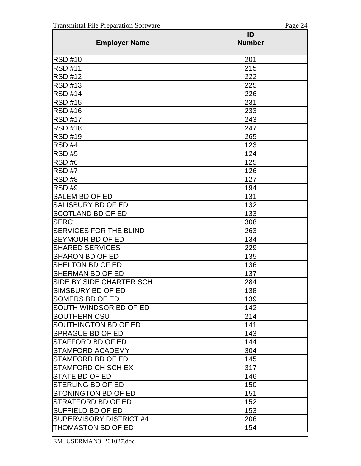|                                                     | ID            |
|-----------------------------------------------------|---------------|
| <b>Employer Name</b>                                | <b>Number</b> |
| <b>RSD #10</b>                                      | 201           |
| <b>RSD #11</b>                                      | 215           |
| <b>RSD #12</b>                                      | 222           |
| <b>RSD #13</b>                                      | 225           |
| <b>RSD #14</b>                                      | 226           |
| <b>RSD #15</b>                                      | 231           |
| <b>RSD #16</b>                                      | 233           |
| <b>RSD #17</b>                                      | 243           |
| <b>RSD #18</b>                                      | 247           |
| <b>RSD #19</b>                                      | 265           |
| RSD#4                                               | 123           |
| <b>RSD #5</b>                                       | 124           |
| RSD#6                                               | 125           |
| RSD#7                                               | 126           |
| RSD#8                                               | 127           |
| RSD#9                                               | 194           |
| <b>SALEM BD OF ED</b>                               | 131           |
| SALISBURY BD OF ED                                  | 132           |
| <b>SCOTLAND BD OF ED</b>                            | 133           |
| <b>SERC</b>                                         | 308           |
| <b>SERVICES FOR THE BLIND</b>                       | 263           |
| SEYMOUR BD OF ED                                    | 134           |
| <b>SHARED SERVICES</b>                              | 229           |
| <b>SHARON BD OF ED</b>                              | 135           |
| SHELTON BD OF ED                                    | 136           |
| SHERMAN BD OF ED                                    | 137           |
| SIDE BY SIDE CHARTER SCH                            | 284           |
| SIMSBURY BD OF ED                                   | 138           |
| SOMERS BD OF ED                                     | 139           |
| SOUTH WINDSOR BD OF ED                              | 142           |
| SOUTHERN CSU                                        | 214           |
| SOUTHINGTON BD OF ED                                | 141           |
| <b>SPRAGUE BD OF ED</b>                             | 143           |
| STAFFORD BD OF ED                                   | 144           |
| <b>STAMFORD ACADEMY</b>                             | 304           |
| <b>STAMFORD BD OF ED</b>                            | 145           |
| <b>STAMFORD CH SCH EX</b>                           | 317           |
| <b>STATE BD OF ED</b>                               | 146           |
| STERLING BD OF ED                                   | 150           |
| STONINGTON BD OF ED                                 | 151           |
| <b>STRATFORD BD OF ED</b>                           | 152           |
| SUFFIELD BD OF ED<br><b>SUPERVISORY DISTRICT #4</b> | 153           |
|                                                     | 206           |
| <b>THOMASTON BD OF ED</b>                           | 154           |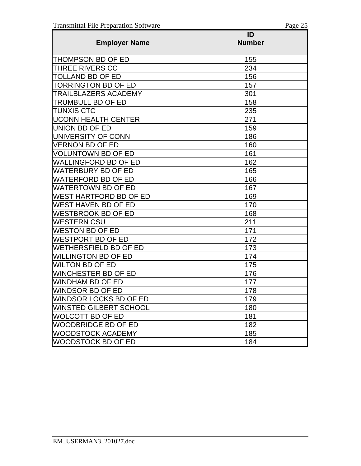|                               | ID            |
|-------------------------------|---------------|
| <b>Employer Name</b>          | <b>Number</b> |
| <b>THOMPSON BD OF ED</b>      | 155           |
| THREE RIVERS CC               | 234           |
| <b>TOLLAND BD OF ED</b>       | 156           |
| <b>TORRINGTON BD OF ED</b>    | 157           |
| <b>TRAILBLAZERS ACADEMY</b>   | 301           |
| <b>TRUMBULL BD OF ED</b>      | 158           |
| <b>TUNXIS CTC</b>             | 235           |
| <b>UCONN HEALTH CENTER</b>    | 271           |
| <b>UNION BD OF ED</b>         | 159           |
| UNIVERSITY OF CONN            | 186           |
| VERNON BD OF ED               | 160           |
| <b>VOLUNTOWN BD OF ED</b>     | 161           |
| <b>WALLINGFORD BD OF ED</b>   | 162           |
| <b>WATERBURY BD OF ED</b>     | 165           |
| <b>WATERFORD BD OF ED</b>     | 166           |
| <b>WATERTOWN BD OF ED</b>     | 167           |
| WEST HARTFORD BD OF ED        | 169           |
| WEST HAVEN BD OF ED           | 170           |
| <b>WESTBROOK BD OF ED</b>     | 168           |
| <b>WESTERN CSU</b>            | 211           |
| WESTON BD OF ED               | 171           |
| WESTPORT BD OF ED             | 172           |
| WETHERSFIELD BD OF ED         | 173           |
| <b>WILLINGTON BD OF ED</b>    | 174           |
| <b>WILTON BD OF ED</b>        | 175           |
| <b>WINCHESTER BD OF ED</b>    | 176           |
| WINDHAM BD OF ED              | 177           |
| WINDSOR BD OF ED              | 178           |
| <b>WINDSOR LOCKS BD OF ED</b> | 179           |
| <b>WINSTED GILBERT SCHOOL</b> | 180           |
| <b>WOLCOTT BD OF ED</b>       | 181           |
| <b>WOODBRIDGE BD OF ED</b>    | 182           |
| WOODSTOCK ACADEMY             | 185           |
| WOODSTOCK BD OF ED            | 184           |